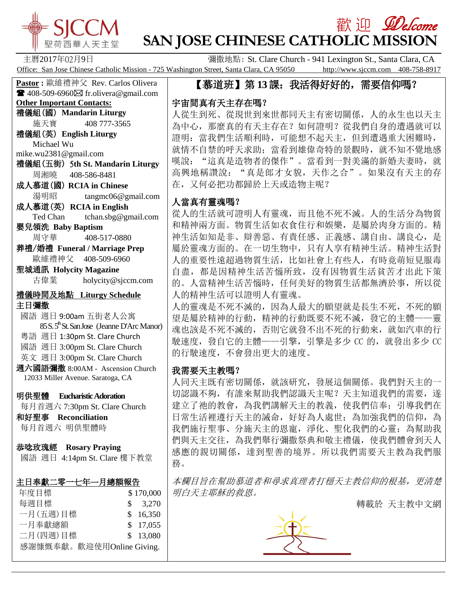

# 歡 迎 *见elcome* **SAN JOSE CHINESE CATHOLIC MISSION**

主曆2017年02月9日 彌撒地點: St. Clare Church - 941 Lexington St., Santa Clara, CA Office: San Jose Chinese Catholic Mission - 725 Washington Street, Santa Clara, CA 95050 http://www.sjccm.com 408-758-8917

#### 【慕道班】第13課:我活得好好的,需要信仰嗎?

# 宇宙間真有天主存在嗎?

人從生到死、從現世到來世都同天主有密切關係,人的永生也以天主 為中心,那麼真的有天主存在?如何證明?從我們自身的遭遇就可以 證明:當我們生活順利時,可能想不起天主,但到遭遇重大困難時, 就情不自禁的呼天求助;當看到雄偉奇特的景觀時,就不知不覺地感 嘆說: "這真是造物者的傑作"。當看到一對美滿的新婚夫妻時,就 高興地稱讚說: "真是郎才女貌,天作之合"。如果沒有天主的存 在,又何必把功都歸於上天或造物主呢?

# 人當真有靈魂嗎?

從人的生活就可證明人有靈魂,而且他不死不滅。人的生活分為物質 和精神兩方面。物質生活如衣食住行和娛樂,是屬於肉身方面的。精 神生活如知是非、辯善惡、有責任感、正義感、講自由、講良心,是 屬於靈魂方面的。在一切生物中,只有人享有精神生活。精神生活對 人的重要性遠超過物質生活,比如社會上有些人,有時竟萌短見服毒 自盡,都是因精神生活苦惱所致,沒有因物質生活貧苦才出此下策 的。人當精神生活苦惱時,任何美好的物質生活都無濟於事,所以從 人的精神生活可以證明人有靈魂。

人的靈魂是不死不滅的,因為人最大的願望就是長生不死,不死的願 望是屬於精神的行動,精神的行動既要不死不滅,發它的主體——靈 魂也該是不死不滅的,否則它就發不出不死的行動來, 就如汽車的行 駛速度,發自它的主體——引擎,引擎是多少 CC 的,就發出多少 CC 的行駛速度,不會發出更大的速度。

## 我需要天主教嗎?

人同天主既有密切關係, 就該研究, 發展這個關係。我們對天主的一 切認識不夠,有誰來幫助我們認識天主呢?天主知道我們的需要,遂 建立了祂的教會,為我們講解天主的教義,使我們信奉;引導我們在 日常生活裡遵行天主的誡命,好好為人處世;為加強我們的信仰,為 我們施行聖事、分施天主的恩寵,淨化、聖化我們的心靈;為幫助我 們與天主交往,為我們舉行彌撒祭典和敬主禮儀,使我們體會到天人 感應的親切關係,達到聖善的境界。所以我們需要天主教為我們服 務。

本欄目旨在幫助慕道者和尋求真理者打穩天主教信仰的根基,更清楚 明白天主耶穌的救恩。

轉載於 天主教中文網



**Pastor :** 歐維禮神父 Rev. Carlos Olivera  $\blacksquare$  408-509-6960 $\boxtimes$  fr.olivera@gmail.com **Other Important Contacts:** 禮儀組(國) **Mandarin Liturgy** 施天寶 408 777-3565 禮儀組(英) **English Liturgy** Michael Wu mike.wu2381@gmail.com 禮儀組(五街) 5**th St. Mandarin Liturgy** 周湘曉 408-586-8481 成人慕道(國) **RCIA in Chinese** 湯明昭 tangmc06@gmail.com 成人慕道(英) **RCIA in English** Ted Chan tchan.sbg@gmail.com 嬰兒領洗 **Baby Baptism** 周守華 408-517-0880 葬禮/婚禮 **Funeral / Marriage Prep** 歐維禮神父 408-509-6960 聖城通訊 **Holycity Magazine** 古偉業 [holycity@sjccm.com](mailto:holycity@sjccm.com)禮儀時間及地點 **Liturgy Schedule** 主日彌撒 國語 週日 9:00am 五街老人公寓 85 S. 5<sup>th</sup> St. San Jose (Jeanne D'Arc Manor) 粵語 週日 1:30pm St. Clare Church 國語 週日 3:00pm St. Clare Church 英文 週日 3:00pm St. Clare Church 週六國語彌撒 8:00AM - Ascension Church 12033 Miller Avenue. Saratoga, CA 明供聖體 **Eucharistic Adoration** 每月首週六 7:30pm St. Clare Church 和好聖事 **Reconciliation** 每月首週六 明供聖體時 恭唸玫瑰經 **Rosary Praying** 國語 週日 4:14pm St. Clare 樓下教堂

## 主日奉獻二零一七年一月總額報告

| \$170,000                 |
|---------------------------|
| \$3,270                   |
| \$16,350                  |
| \$17,055                  |
| \$13,080                  |
| 感謝慷慨奉獻。歡迎使用Online Giving. |
|                           |